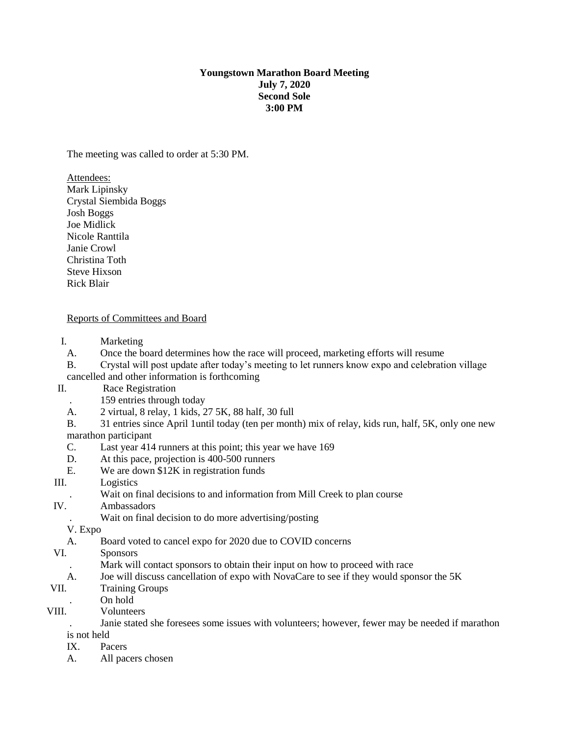### **Youngstown Marathon Board Meeting July 7, 2020 Second Sole 3:00 PM**

The meeting was called to order at 5:30 PM.

Attendees: Mark Lipinsky Crystal Siembida Boggs Josh Boggs Joe Midlick Nicole Ranttila Janie Crowl Christina Toth Steve Hixson Rick Blair

## Reports of Committees and Board

- I. Marketing
- A. Once the board determines how the race will proceed, marketing efforts will resume
- B. Crystal will post update after today's meeting to let runners know expo and celebration village cancelled and other information is forthcoming
- II. Race Registration
	- . 159 entries through today
	- A. 2 virtual, 8 relay, 1 kids, 27 5K, 88 half, 30 full
	- B. 31 entries since April 1until today (ten per month) mix of relay, kids run, half, 5K, only one new marathon participant
	- C. Last year 414 runners at this point; this year we have 169
	- D. At this pace, projection is 400-500 runners
	- E. We are down \$12K in registration funds
- III. Logistics
	- . Wait on final decisions to and information from Mill Creek to plan course
- IV. Ambassadors
	- . Wait on final decision to do more advertising/posting

V. Expo

- A. Board voted to cancel expo for 2020 due to COVID concerns
- VI. Sponsors
	- . Mark will contact sponsors to obtain their input on how to proceed with race
	- A. Joe will discuss cancellation of expo with NovaCare to see if they would sponsor the 5K

# VII. Training Groups

- . On hold
- VIII. Volunteers

. Janie stated she foresees some issues with volunteers; however, fewer may be needed if marathon is not held

- IX. Pacers
- A. All pacers chosen